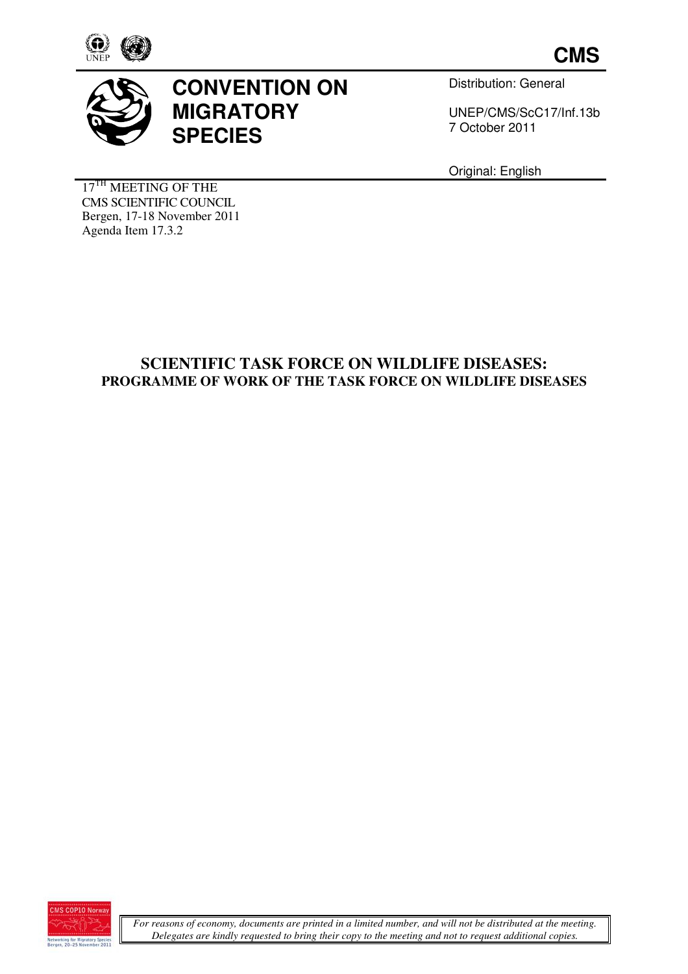



# **CONVENTION ON MIGRATORY SPECIES**

Distribution: General

UNEP/CMS/ScC17/ UNEP/CMS/ScC17/Inf.13b 7 October October 2011 **CMS**<br>
stribution: General<br>
IEP/CMS/ScC17/Inf.13b<br>
DISEASES:<br>
LDLIFE DISEASES<br>
LDLIFE DISEASES

Original: English

17<sup>TH</sup> MEETING OF THE CMS SCIENTIFIC COUNCIL Bergen, 17-18 November 2011 Agenda Item 17.3.2

# **SCIENTIFIC TASK FORCE ON WILDLIFE DISEASES:** PROGRAMME OF WORK OF THE TASK FORCE ON WILDLIFE DISEASES

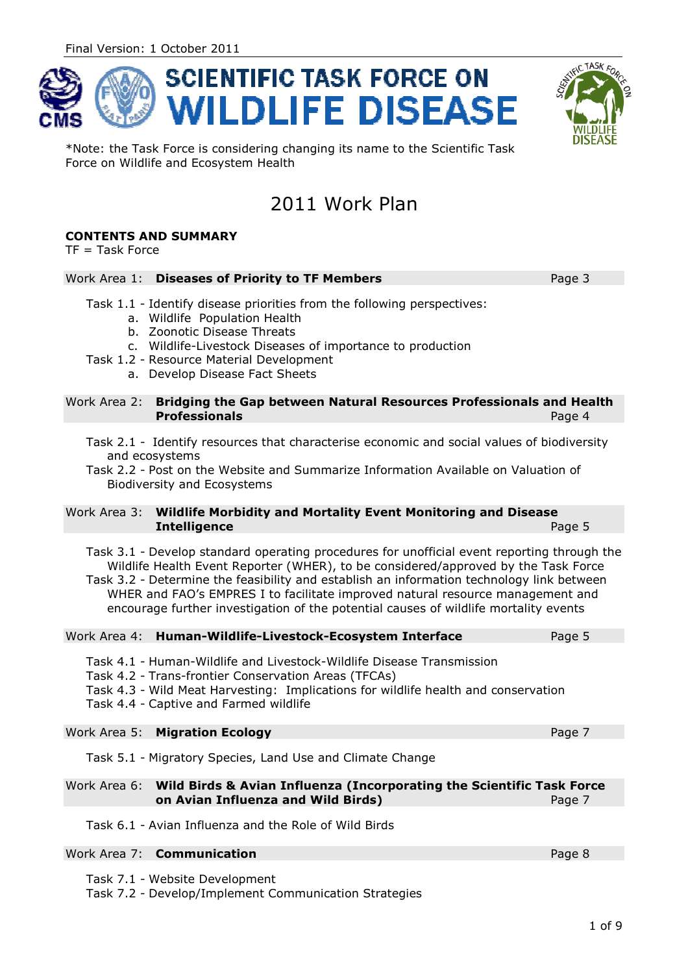



Page 3

\*Note: the Task Force is considering changing its name to the Scientific Task Force on Wildlife and Ecosystem Health

# 2011 Work Plan

## **CONTENTS AND SUMMARY**

 $TF = Task Force$ 

### Work Area 1: **Diseases of Priority to TF Members eases**

- Task 1.1 Identify disease priorities from the following perspectives:
	- a. Wildlife Population Health
	- b. Zoonotic Disease Threats
	- c. Wildlife-Livestock Diseases of importance to production
- Task 1.2 Resource Material Development c. Wildlife-Livestock Diseases of<br>2 - Resource Material Developme<br>a. Develop Disease Fact Sheets
	-

#### Work Area 2: **Bridging the Gap between Natural Resources Professionals and Health Professionals** Page 4

Task 2.1 - Identify resources that characterise economic and social values of biodiversity and ecosystems

Task 2.2 - Post on the Website and Summarize Information Available on Valuation of Biodiversity and Ecosystems

#### Work Area 3: **Wildlife Morbidity and Mortality Event Monitoring and Disease Intelligence** Page 5

Task 3.1 - Develop standard operating procedures for unofficial event reporting through the Wildlife Health Event Reporter (WHER), to be considered/approved by the Task Force Wildlife Health Event Reporter (WHER), to be considered/approved by the Task Force<br>Task 3.2 - Determine the feasibility and establish an information technology link between

WHER and FAO's EMPRES I to facilitate improved natural resource management and WHER and FAO's EMPRES I to facilitate improved natural resource management ar<br>encourage further investigation of the potential causes of wildlife mortality events

| Page 5 |
|--------|
|        |

- Task 4.1 Human-Wildlife and Livestock Wildlife Livestock-Wildlife Disease Transmission
- Task 4.2 Trans-frontier Conservation Areas (TFCAs)
- Task 4.2 Trans-frontier Conservation Areas (TFCAs)<br>Task 4.3 Wild Meat Harvesting: Implications for wildlife health and conservation Wildlife Disease Transmission<br>eas (TFCAs)<br>tions for wildlife health and conservation<br>Page 7
- Task 4.4 Captive and Farmed wildlife

### Work Area 5: **Migration Ecology**

Task 5.1 - Migratory Species, Land Use and Climate Change

#### Work Area 6: **Wild Birds & Avian Influenza ( (Incorporating the Scientific Task Force on Avian Influenza and Wild Birds)** Page 7

Task 6.1 - Avian Influenza and the Role of Wild Birds

### Work Area 7: **Communication nication**

Task 7.1 - Website Development

Task 7.2 - Develop/Implement Communication Strategies

Page 8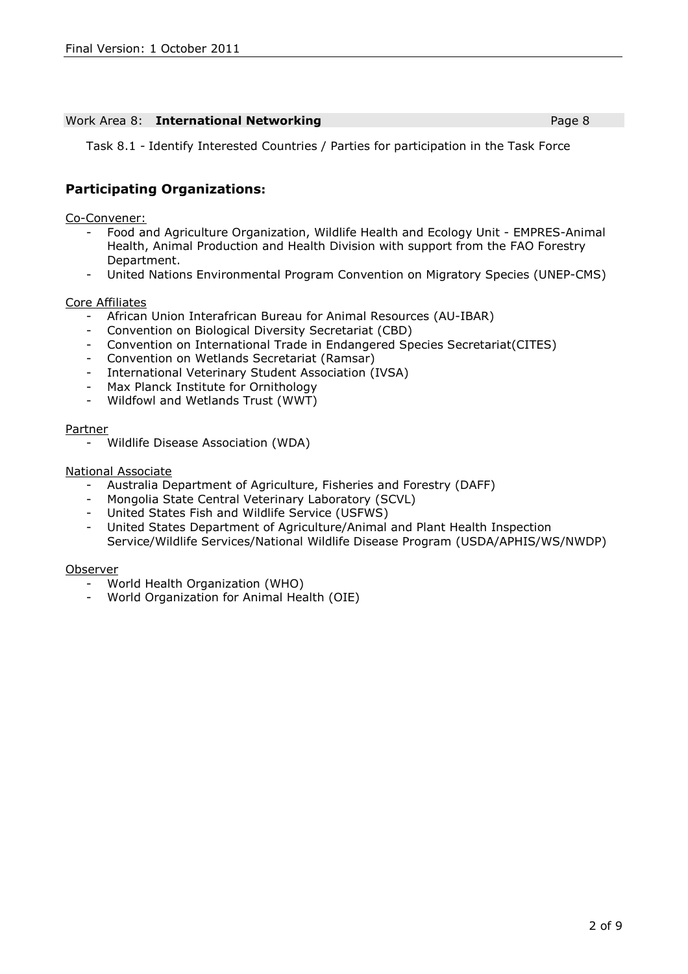#### Work Area 8: **International Networking Page 8 Page 8**

Task 8.1 - Identify Interested Countries / Parties for participation in the Task Force

## **Participating Organizations:**

Co-Convener:

- Food and Agriculture Organization, Wildlife Health and Ecology Unit EMPRES-Animal Health, Animal Production and Health Division with support from the FAO Forestry Department.
- United Nations Environmental Program Convention on Migratory Species (UNEP-CMS)

### Core Affiliates

- African Union Interafrican Bureau for Animal Resources (AU-IBAR)
- Convention on Biological Diversity Secretariat (CBD)
- Convention on International Trade in Endangered Species Secretariat(CITES)
- Convention on Wetlands Secretariat (Ramsar)
- International Veterinary Student Association (IVSA)
- Max Planck Institute for Ornithology
- Wildfowl and Wetlands Trust (WWT)

#### Partner

- Wildlife Disease Association (WDA)

### National Associate

- Australia Department of Agriculture, Fisheries and Forestry (DAFF)<br>- Mongolia State Central Veterinary Laboratory (SCVL)
- Mongolia State Central Veterinary Laboratory (SCVL)
- United States Fish and Wildlife Service (USFWS)
- United States Department of Agriculture/Animal and Plant Health Inspection Service/Wildlife Services/National Wildlife Disease Program (USDA/APHIS/WS/NWDP)

#### Observer

- World Health Organization (WHO)
- World Organization for Animal Health (OIE)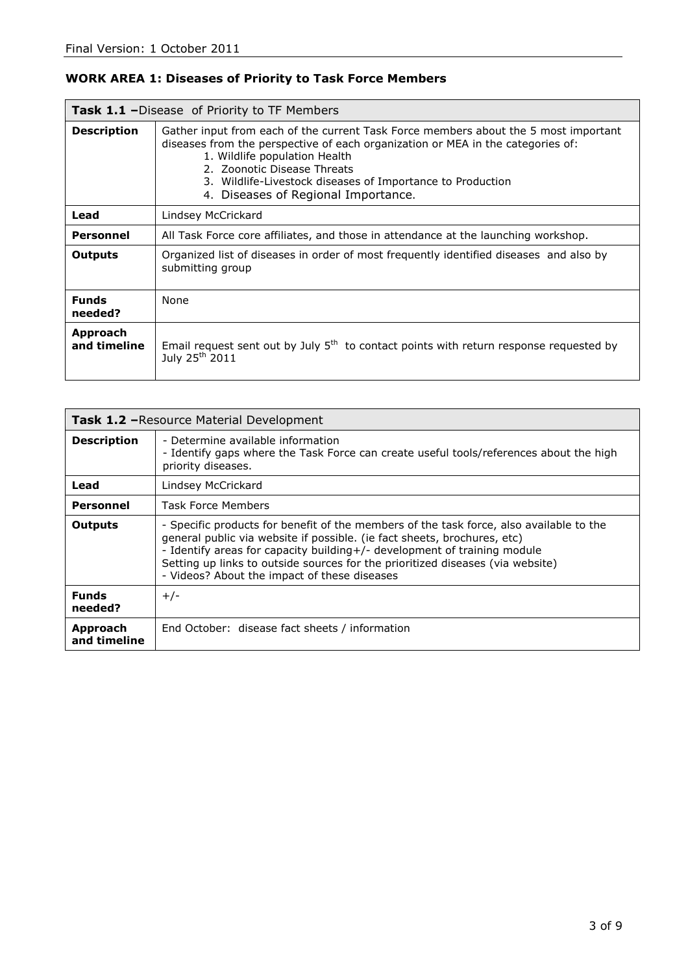## **WORK AREA 1: Diseases of Priority to Task Force Members**

| <b>Task 1.1 –</b> Disease of Priority to TF Members |                                                                                                                                                                                                                                                                                                                                             |
|-----------------------------------------------------|---------------------------------------------------------------------------------------------------------------------------------------------------------------------------------------------------------------------------------------------------------------------------------------------------------------------------------------------|
| <b>Description</b>                                  | Gather input from each of the current Task Force members about the 5 most important<br>diseases from the perspective of each organization or MEA in the categories of:<br>1. Wildlife population Health<br>2. Zoonotic Disease Threats<br>3. Wildlife-Livestock diseases of Importance to Production<br>4. Diseases of Regional Importance. |
| Lead                                                | Lindsey McCrickard                                                                                                                                                                                                                                                                                                                          |
| <b>Personnel</b>                                    | All Task Force core affiliates, and those in attendance at the launching workshop.                                                                                                                                                                                                                                                          |
| <b>Outputs</b>                                      | Organized list of diseases in order of most frequently identified diseases and also by<br>submitting group                                                                                                                                                                                                                                  |
| <b>Funds</b><br>needed?                             | None                                                                                                                                                                                                                                                                                                                                        |
| Approach<br>and timeline                            | Email request sent out by July 5 <sup>th</sup> to contact points with return response requested by<br>July 25 <sup>th</sup> 2011                                                                                                                                                                                                            |

| <b>Task 1.2 - Resource Material Development</b> |                                                                                                                                                                                                                                                                                                                                                                                   |
|-------------------------------------------------|-----------------------------------------------------------------------------------------------------------------------------------------------------------------------------------------------------------------------------------------------------------------------------------------------------------------------------------------------------------------------------------|
| <b>Description</b>                              | - Determine available information<br>- Identify gaps where the Task Force can create useful tools/references about the high<br>priority diseases.                                                                                                                                                                                                                                 |
| Lead                                            | Lindsey McCrickard                                                                                                                                                                                                                                                                                                                                                                |
| <b>Personnel</b>                                | <b>Task Force Members</b>                                                                                                                                                                                                                                                                                                                                                         |
| <b>Outputs</b>                                  | - Specific products for benefit of the members of the task force, also available to the<br>general public via website if possible. (ie fact sheets, brochures, etc)<br>- Identify areas for capacity building+/- development of training module<br>Setting up links to outside sources for the prioritized diseases (via website)<br>- Videos? About the impact of these diseases |
| <b>Funds</b><br>needed?                         | $+/-$                                                                                                                                                                                                                                                                                                                                                                             |
| Approach<br>and timeline                        | End October: disease fact sheets / information                                                                                                                                                                                                                                                                                                                                    |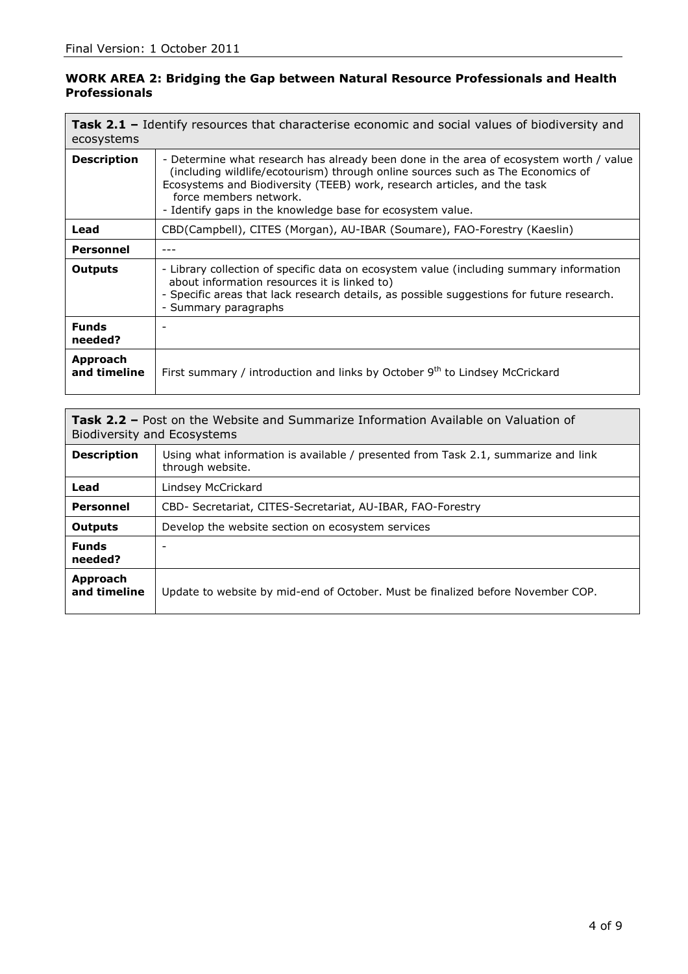## **WORK AREA 2: Bridging the Gap between Natural Resource Professionals and Health Professionals**

| <b>Task 2.1 -</b> Identify resources that characterise economic and social values of biodiversity and<br>ecosystems |                                                                                                                                                                                                                                                                                                                                               |
|---------------------------------------------------------------------------------------------------------------------|-----------------------------------------------------------------------------------------------------------------------------------------------------------------------------------------------------------------------------------------------------------------------------------------------------------------------------------------------|
| <b>Description</b>                                                                                                  | - Determine what research has already been done in the area of ecosystem worth / value<br>(including wildlife/ecotourism) through online sources such as The Economics of<br>Ecosystems and Biodiversity (TEEB) work, research articles, and the task<br>force members network.<br>- Identify gaps in the knowledge base for ecosystem value. |
| Lead                                                                                                                | CBD(Campbell), CITES (Morgan), AU-IBAR (Soumare), FAO-Forestry (Kaeslin)                                                                                                                                                                                                                                                                      |
| <b>Personnel</b>                                                                                                    |                                                                                                                                                                                                                                                                                                                                               |
| <b>Outputs</b>                                                                                                      | - Library collection of specific data on ecosystem value (including summary information<br>about information resources it is linked to)<br>- Specific areas that lack research details, as possible suggestions for future research.<br>- Summary paragraphs                                                                                  |
| <b>Funds</b><br>needed?                                                                                             |                                                                                                                                                                                                                                                                                                                                               |
| Approach<br>and timeline                                                                                            | First summary / introduction and links by October 9 <sup>th</sup> to Lindsey McCrickard                                                                                                                                                                                                                                                       |

**Task 2.2 –** Post on the Website and Summarize Information Available on Valuation of Biodiversity and Ecosystems

| <b>Description</b>       | Using what information is available / presented from Task 2.1, summarize and link<br>through website. |
|--------------------------|-------------------------------------------------------------------------------------------------------|
| Lead                     | Lindsey McCrickard                                                                                    |
| <b>Personnel</b>         | CBD- Secretariat, CITES-Secretariat, AU-IBAR, FAO-Forestry                                            |
| <b>Outputs</b>           | Develop the website section on ecosystem services                                                     |
| <b>Funds</b><br>needed?  |                                                                                                       |
| Approach<br>and timeline | Update to website by mid-end of October. Must be finalized before November COP.                       |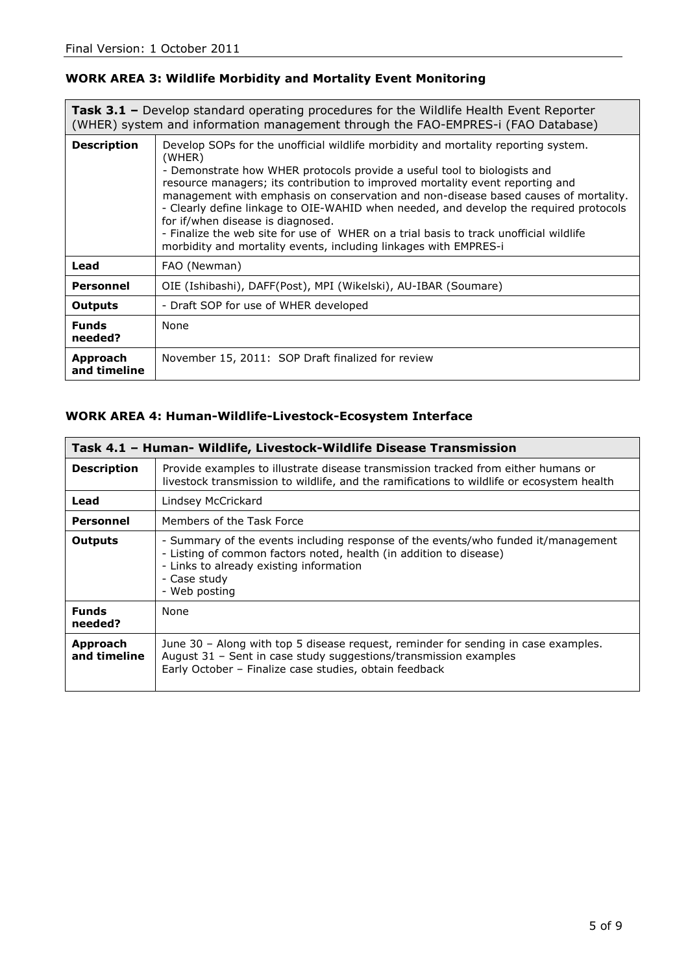## **WORK AREA 3: Wildlife Morbidity and Mortality Event Monitoring**

| <b>Task 3.1 -</b> Develop standard operating procedures for the Wildlife Health Event Reporter<br>(WHER) system and information management through the FAO-EMPRES-i (FAO Database) |                                                                                                                                                                                                                                                                                                                                                                                                                                                                                                                                                                                                                                             |
|------------------------------------------------------------------------------------------------------------------------------------------------------------------------------------|---------------------------------------------------------------------------------------------------------------------------------------------------------------------------------------------------------------------------------------------------------------------------------------------------------------------------------------------------------------------------------------------------------------------------------------------------------------------------------------------------------------------------------------------------------------------------------------------------------------------------------------------|
| <b>Description</b>                                                                                                                                                                 | Develop SOPs for the unofficial wildlife morbidity and mortality reporting system.<br>(WHER)<br>- Demonstrate how WHER protocols provide a useful tool to biologists and<br>resource managers; its contribution to improved mortality event reporting and<br>management with emphasis on conservation and non-disease based causes of mortality.<br>- Clearly define linkage to OIE-WAHID when needed, and develop the required protocols<br>for if/when disease is diagnosed.<br>- Finalize the web site for use of WHER on a trial basis to track unofficial wildlife<br>morbidity and mortality events, including linkages with EMPRES-i |
| Lead                                                                                                                                                                               | FAO (Newman)                                                                                                                                                                                                                                                                                                                                                                                                                                                                                                                                                                                                                                |
| <b>Personnel</b>                                                                                                                                                                   | OIE (Ishibashi), DAFF(Post), MPI (Wikelski), AU-IBAR (Soumare)                                                                                                                                                                                                                                                                                                                                                                                                                                                                                                                                                                              |
| <b>Outputs</b>                                                                                                                                                                     | - Draft SOP for use of WHER developed                                                                                                                                                                                                                                                                                                                                                                                                                                                                                                                                                                                                       |
| <b>Funds</b><br>needed?                                                                                                                                                            | None                                                                                                                                                                                                                                                                                                                                                                                                                                                                                                                                                                                                                                        |
| Approach<br>and timeline                                                                                                                                                           | November 15, 2011: SOP Draft finalized for review                                                                                                                                                                                                                                                                                                                                                                                                                                                                                                                                                                                           |

## **WORK AREA 4: Human-Wildlife-Livestock-Ecosystem Interface**

| Task 4.1 - Human- Wildlife, Livestock-Wildlife Disease Transmission |                                                                                                                                                                                                                                     |
|---------------------------------------------------------------------|-------------------------------------------------------------------------------------------------------------------------------------------------------------------------------------------------------------------------------------|
| <b>Description</b>                                                  | Provide examples to illustrate disease transmission tracked from either humans or<br>livestock transmission to wildlife, and the ramifications to wildlife or ecosystem health                                                      |
| Lead                                                                | Lindsey McCrickard                                                                                                                                                                                                                  |
| <b>Personnel</b>                                                    | Members of the Task Force                                                                                                                                                                                                           |
| Outputs                                                             | - Summary of the events including response of the events/who funded it/management<br>- Listing of common factors noted, health (in addition to disease)<br>- Links to already existing information<br>- Case study<br>- Web posting |
| <b>Funds</b><br>needed?                                             | None                                                                                                                                                                                                                                |
| Approach<br>and timeline                                            | June 30 - Along with top 5 disease request, reminder for sending in case examples.<br>August 31 - Sent in case study suggestions/transmission examples<br>Early October - Finalize case studies, obtain feedback                    |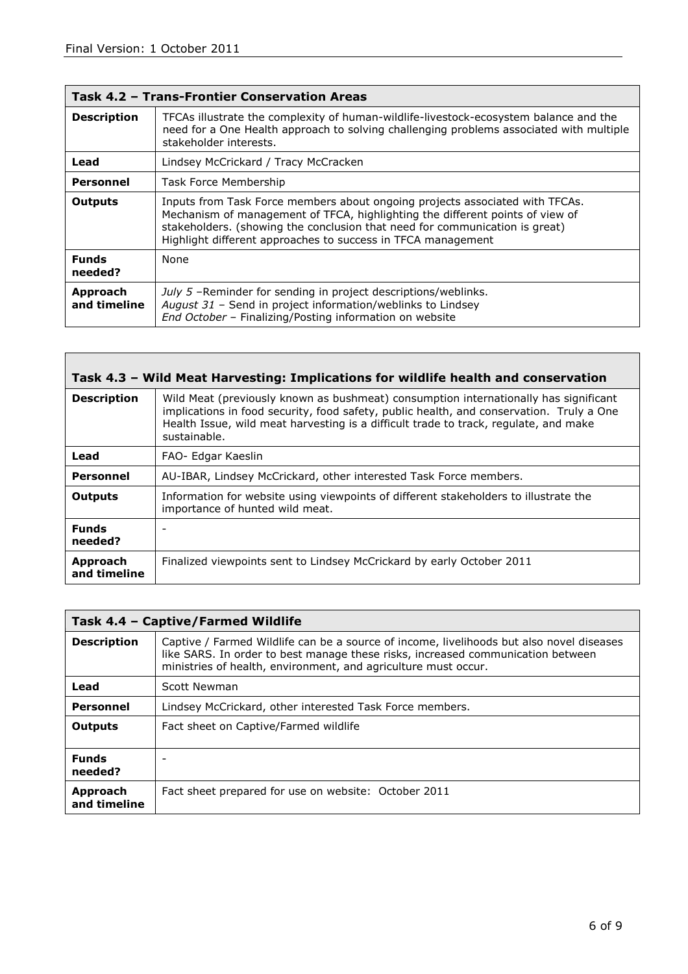| Task 4.2 - Trans-Frontier Conservation Areas |                                                                                                                                                                                                                                                                                                              |
|----------------------------------------------|--------------------------------------------------------------------------------------------------------------------------------------------------------------------------------------------------------------------------------------------------------------------------------------------------------------|
| <b>Description</b>                           | TFCAs illustrate the complexity of human-wildlife-livestock-ecosystem balance and the<br>need for a One Health approach to solving challenging problems associated with multiple<br>stakeholder interests.                                                                                                   |
| Lead                                         | Lindsey McCrickard / Tracy McCracken                                                                                                                                                                                                                                                                         |
| <b>Personnel</b>                             | Task Force Membership                                                                                                                                                                                                                                                                                        |
| <b>Outputs</b>                               | Inputs from Task Force members about ongoing projects associated with TFCAs.<br>Mechanism of management of TFCA, highlighting the different points of view of<br>stakeholders. (showing the conclusion that need for communication is great)<br>Highlight different approaches to success in TFCA management |
| <b>Funds</b><br>needed?                      | None                                                                                                                                                                                                                                                                                                         |
| Approach<br>and timeline                     | July 5 -Reminder for sending in project descriptions/weblinks.<br>August 31 - Send in project information/weblinks to Lindsey<br>End October - Finalizing/Posting information on website                                                                                                                     |

| Task 4.3 - Wild Meat Harvesting: Implications for wildlife health and conservation |                                                                                                                                                                                                                                                                                          |
|------------------------------------------------------------------------------------|------------------------------------------------------------------------------------------------------------------------------------------------------------------------------------------------------------------------------------------------------------------------------------------|
| <b>Description</b>                                                                 | Wild Meat (previously known as bushmeat) consumption internationally has significant<br>implications in food security, food safety, public health, and conservation. Truly a One<br>Health Issue, wild meat harvesting is a difficult trade to track, regulate, and make<br>sustainable. |
| Lead                                                                               | FAO- Edgar Kaeslin                                                                                                                                                                                                                                                                       |
| <b>Personnel</b>                                                                   | AU-IBAR, Lindsey McCrickard, other interested Task Force members.                                                                                                                                                                                                                        |
| <b>Outputs</b>                                                                     | Information for website using viewpoints of different stakeholders to illustrate the<br>importance of hunted wild meat.                                                                                                                                                                  |
| <b>Funds</b><br>needed?                                                            |                                                                                                                                                                                                                                                                                          |
| Approach<br>and timeline                                                           | Finalized viewpoints sent to Lindsey McCrickard by early October 2011                                                                                                                                                                                                                    |

| Task 4.4 - Captive/Farmed Wildlife |                                                                                                                                                                                                                                               |
|------------------------------------|-----------------------------------------------------------------------------------------------------------------------------------------------------------------------------------------------------------------------------------------------|
| <b>Description</b>                 | Captive / Farmed Wildlife can be a source of income, livelihoods but also novel diseases<br>like SARS. In order to best manage these risks, increased communication between<br>ministries of health, environment, and agriculture must occur. |
| Lead                               | Scott Newman                                                                                                                                                                                                                                  |
| <b>Personnel</b>                   | Lindsey McCrickard, other interested Task Force members.                                                                                                                                                                                      |
| <b>Outputs</b>                     | Fact sheet on Captive/Farmed wildlife                                                                                                                                                                                                         |
| <b>Funds</b><br>needed?            |                                                                                                                                                                                                                                               |
| Approach<br>and timeline           | Fact sheet prepared for use on website: October 2011                                                                                                                                                                                          |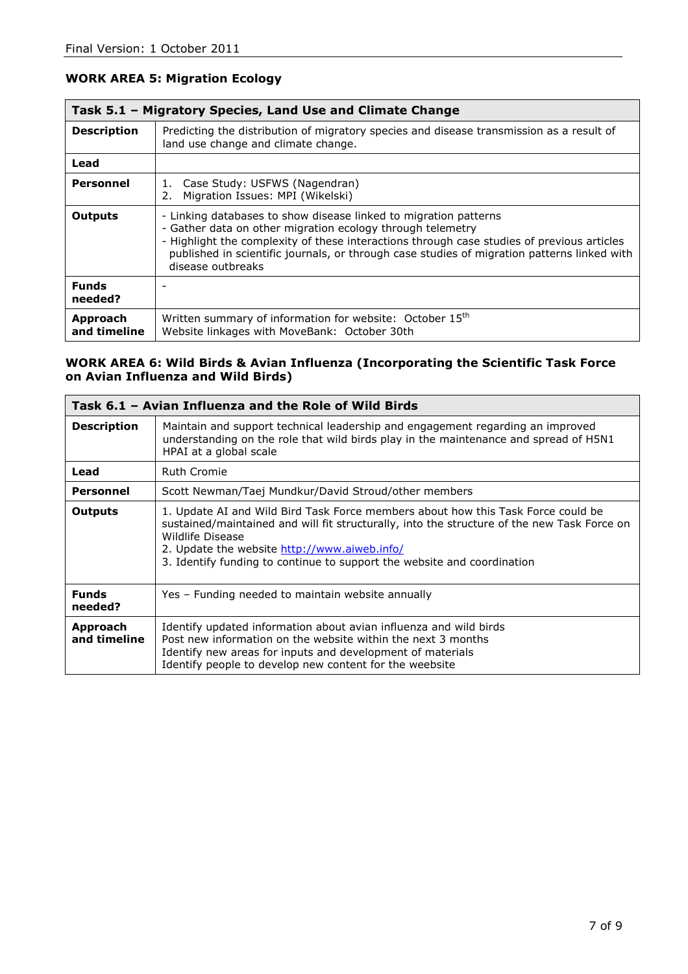| Task 5.1 - Migratory Species, Land Use and Climate Change |                                                                                                                                                                                                                                                                                                                                                  |
|-----------------------------------------------------------|--------------------------------------------------------------------------------------------------------------------------------------------------------------------------------------------------------------------------------------------------------------------------------------------------------------------------------------------------|
| <b>Description</b>                                        | Predicting the distribution of migratory species and disease transmission as a result of<br>land use change and climate change.                                                                                                                                                                                                                  |
| Lead                                                      |                                                                                                                                                                                                                                                                                                                                                  |
| Personnel                                                 | Case Study: USFWS (Nagendran)<br>1.<br>Migration Issues: MPI (Wikelski)<br>2.                                                                                                                                                                                                                                                                    |
| <b>Outputs</b>                                            | - Linking databases to show disease linked to migration patterns<br>- Gather data on other migration ecology through telemetry<br>- Highlight the complexity of these interactions through case studies of previous articles<br>published in scientific journals, or through case studies of migration patterns linked with<br>disease outbreaks |
| <b>Funds</b><br>needed?                                   |                                                                                                                                                                                                                                                                                                                                                  |
| Approach<br>and timeline                                  | Written summary of information for website: October 15 <sup>th</sup><br>Website linkages with MoveBank: October 30th                                                                                                                                                                                                                             |

## **WORK AREA 5: Migration Ecology**

### **WORK AREA 6: Wild Birds & Avian Influenza (Incorporating the Scientific Task Force on Avian Influenza and Wild Birds)**

| Task 6.1 – Avian Influenza and the Role of Wild Birds |                                                                                                                                                                                                                                                                                                                                |
|-------------------------------------------------------|--------------------------------------------------------------------------------------------------------------------------------------------------------------------------------------------------------------------------------------------------------------------------------------------------------------------------------|
| <b>Description</b>                                    | Maintain and support technical leadership and engagement regarding an improved<br>understanding on the role that wild birds play in the maintenance and spread of H5N1<br>HPAI at a global scale                                                                                                                               |
| Lead                                                  | <b>Ruth Cromie</b>                                                                                                                                                                                                                                                                                                             |
| Personnel                                             | Scott Newman/Taej Mundkur/David Stroud/other members                                                                                                                                                                                                                                                                           |
| Outputs                                               | 1. Update AI and Wild Bird Task Force members about how this Task Force could be<br>sustained/maintained and will fit structurally, into the structure of the new Task Force on<br>Wildlife Disease<br>2. Update the website http://www.aiweb.info/<br>3. Identify funding to continue to support the website and coordination |
| <b>Funds</b><br>needed?                               | Yes – Funding needed to maintain website annually                                                                                                                                                                                                                                                                              |
| Approach<br>and timeline                              | Identify updated information about avian influenza and wild birds<br>Post new information on the website within the next 3 months<br>Identify new areas for inputs and development of materials<br>Identify people to develop new content for the weebsite                                                                     |